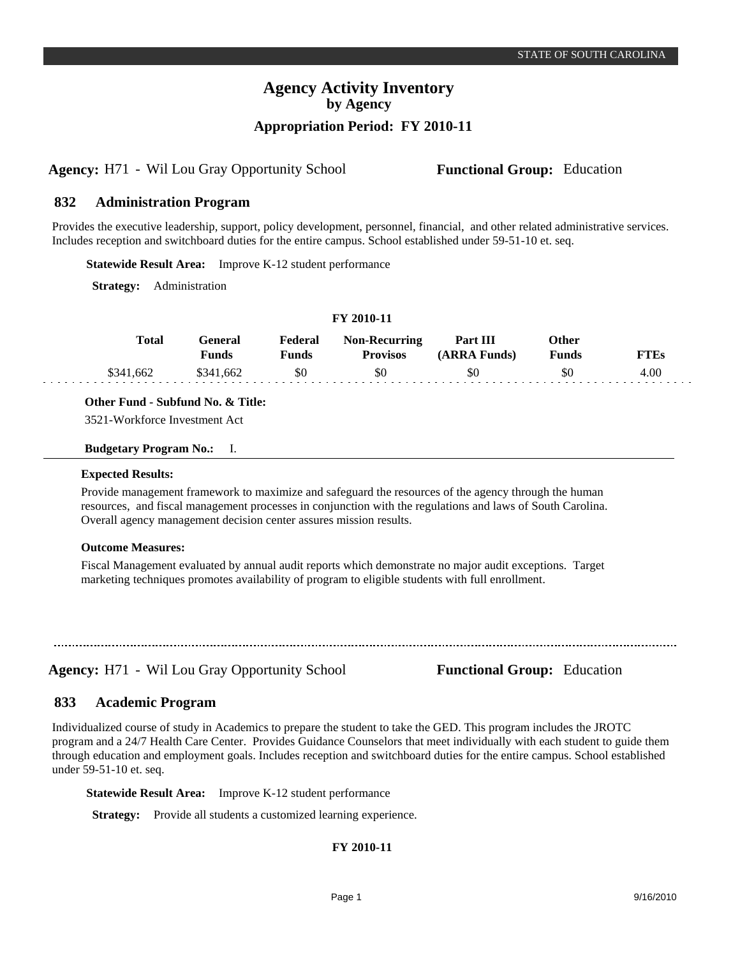## **Agency Activity Inventory by Agency Appropriation Period: FY 2010-11**

**Agency:** H71 - Wil Lou Gray Opportunity School **Functional Group:** Education

#### **Administration Program 832**

Provides the executive leadership, support, policy development, personnel, financial, and other related administrative services. Includes reception and switchboard duties for the entire campus. School established under 59-51-10 et. seq.

**Statewide Result Area:** Improve K-12 student performance

**Strategy:** Administration

| Total     | <b>General</b><br>Funds | Federal<br><b>Funds</b> | <b>Non-Recurring</b><br><b>Provisos</b> | <b>Part III</b><br>(ARRA Funds) | Other<br><b>Funds</b> | <b>FTEs</b> |
|-----------|-------------------------|-------------------------|-----------------------------------------|---------------------------------|-----------------------|-------------|
| \$341,662 | \$341,662               | - \$0                   | \$0                                     | \$0                             | \$0                   | 4.00        |

**FY 2010-11**

## **Other Fund - Subfund No. & Title:**

3521-Workforce Investment Act

### **Budgetary Program No.:** I.

### **Expected Results:**

Provide management framework to maximize and safeguard the resources of the agency through the human resources, and fiscal management processes in conjunction with the regulations and laws of South Carolina. Overall agency management decision center assures mission results.

### **Outcome Measures:**

Fiscal Management evaluated by annual audit reports which demonstrate no major audit exceptions. Target marketing techniques promotes availability of program to eligible students with full enrollment.

**Agency:** H71 - Wil Lou Gray Opportunity School **Functional Group:** Education

#### **Academic Program 833**

Individualized course of study in Academics to prepare the student to take the GED. This program includes the JROTC program and a 24/7 Health Care Center. Provides Guidance Counselors that meet individually with each student to guide them through education and employment goals. Includes reception and switchboard duties for the entire campus. School established under 59-51-10 et. seq.

**Statewide Result Area:** Improve K-12 student performance

**Strategy:** Provide all students a customized learning experience.

## **FY 2010-11**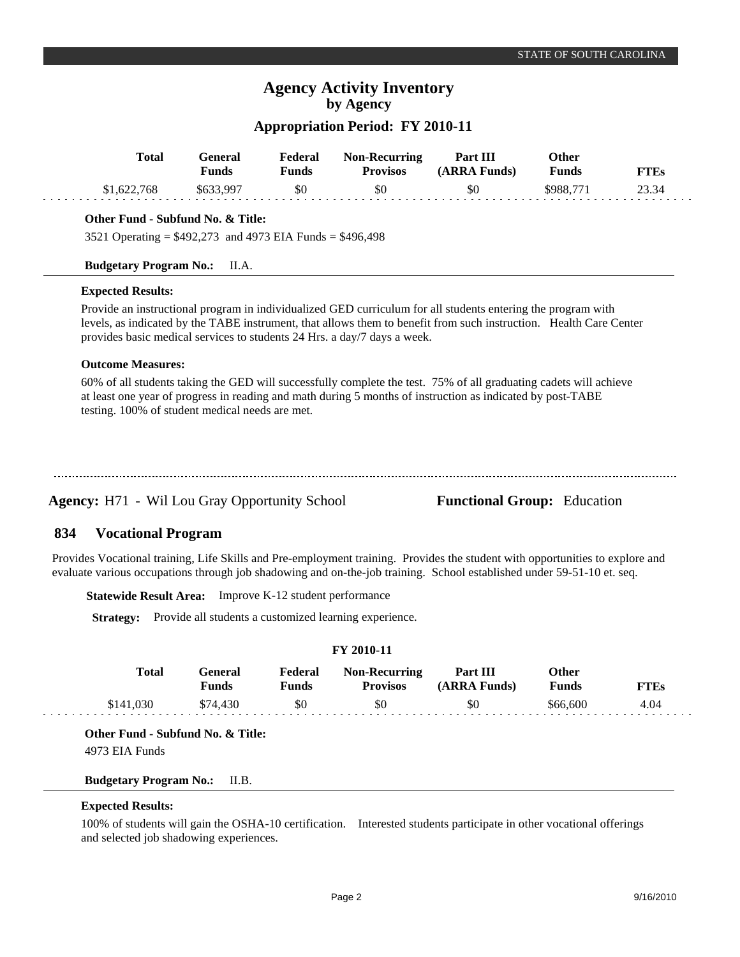# **Agency Activity Inventory by Agency**

## **Appropriation Period: FY 2010-11**

| <b>Total</b>                                                | <b>General</b><br><b>Funds</b> | Federal<br><b>Funds</b> | <b>Non-Recurring</b><br><b>Provisos</b>                                  | Part III<br>(ARRA Funds)                                                                                                                                                                                                           | <b>Other</b><br><b>Funds</b> | <b>FTEs</b> |
|-------------------------------------------------------------|--------------------------------|-------------------------|--------------------------------------------------------------------------|------------------------------------------------------------------------------------------------------------------------------------------------------------------------------------------------------------------------------------|------------------------------|-------------|
| \$1,622,768                                                 | \$633,997                      | \$0                     | \$0                                                                      | \$0                                                                                                                                                                                                                                | \$988,771                    | 23.34       |
| Other Fund - Subfund No. & Title:                           |                                |                         |                                                                          |                                                                                                                                                                                                                                    |                              |             |
| 3521 Operating = $$492,273$ and 4973 EIA Funds = $$496,498$ |                                |                         |                                                                          |                                                                                                                                                                                                                                    |                              |             |
| <b>Budgetary Program No.:</b>                               | II.A.                          |                         |                                                                          |                                                                                                                                                                                                                                    |                              |             |
| <b>Expected Results:</b>                                    |                                |                         |                                                                          |                                                                                                                                                                                                                                    |                              |             |
| <b>Outcome Measures:</b>                                    |                                |                         | provides basic medical services to students 24 Hrs. a day/7 days a week. | Provide an instructional program in individualized GED curriculum for all students entering the program with<br>levels, as indicated by the TABE instrument, that allows them to benefit from such instruction. Health Care Center |                              |             |
| testing. 100% of student medical needs are met.             |                                |                         |                                                                          | 60% of all students taking the GED will successfully complete the test. 75% of all graduating cadets will achieve<br>at least one year of progress in reading and math during 5 months of instruction as indicated by post-TABE    |                              |             |
|                                                             |                                |                         |                                                                          |                                                                                                                                                                                                                                    |                              |             |
|                                                             |                                |                         |                                                                          |                                                                                                                                                                                                                                    |                              |             |
|                                                             |                                |                         |                                                                          |                                                                                                                                                                                                                                    |                              |             |

#### **Vocational Program 834**

Provides Vocational training, Life Skills and Pre-employment training. Provides the student with opportunities to explore and evaluate various occupations through job shadowing and on-the-job training. School established under 59-51-10 et. seq.

**Statewide Result Area:** Improve K-12 student performance

**Strategy:** Provide all students a customized learning experience.

## **FY 2010-11**

| Total     | General<br>Funds | Federal<br>Funds | <b>Non-Recurring</b><br><b>Provisos</b> | Part III<br>(ARRA Funds) | Other<br><b>Funds</b> | <b>FTEs</b> |
|-----------|------------------|------------------|-----------------------------------------|--------------------------|-----------------------|-------------|
| \$141,030 | \$74,430         | \$0              | \$0                                     | \$0                      | \$66,600              | 4.04        |

**Other Fund - Subfund No. & Title:** 4973 EIA Funds

## **Budgetary Program No.:** II.B.

## **Expected Results:**

100% of students will gain the OSHA-10 certification. Interested students participate in other vocational offerings and selected job shadowing experiences.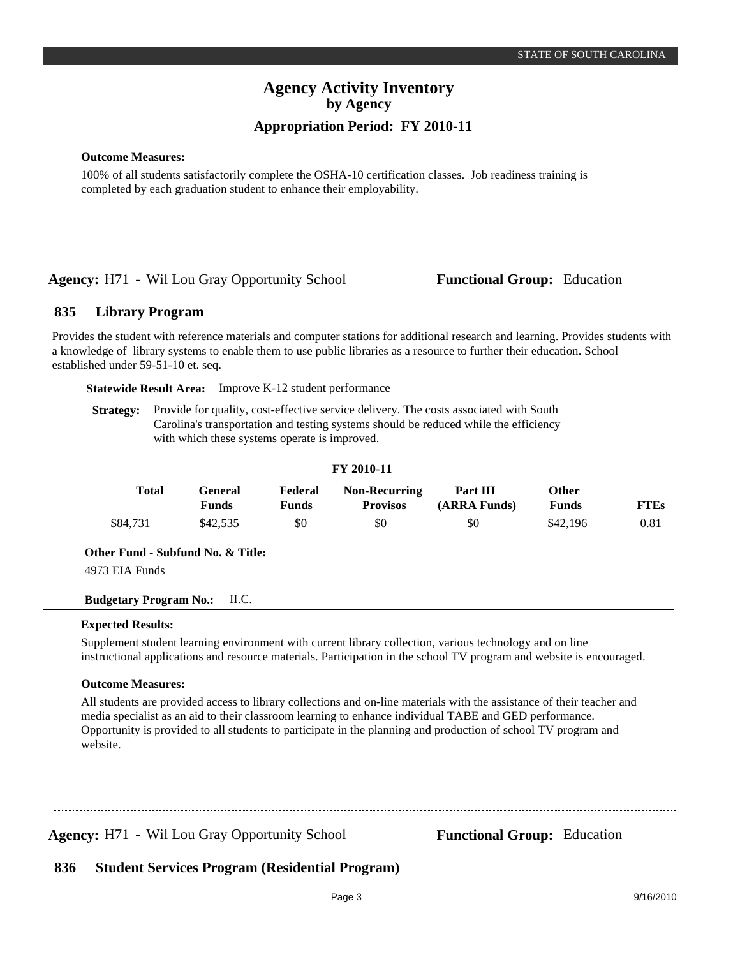# **Agency Activity Inventory by Agency Appropriation Period: FY 2010-11**

**Outcome Measures:**

100% of all students satisfactorily complete the OSHA-10 certification classes. Job readiness training is completed by each graduation student to enhance their employability.

**Agency:** H71 - Wil Lou Gray Opportunity School **Functional Group:** Education

#### **Library Program 835**

Provides the student with reference materials and computer stations for additional research and learning. Provides students with a knowledge of library systems to enable them to use public libraries as a resource to further their education. School established under 59-51-10 et. seq.

**Statewide Result Area:** Improve K-12 student performance

**Strategy:** Provide for quality, cost-effective service delivery. The costs associated with South Carolina's transportation and testing systems should be reduced while the efficiency with which these systems operate is improved.

| F I ZVIV-II |          |                         |                  |                                         |                          |                       |             |
|-------------|----------|-------------------------|------------------|-----------------------------------------|--------------------------|-----------------------|-------------|
|             | Total    | General<br><b>Funds</b> | Federal<br>Funds | <b>Non-Recurring</b><br><b>Provisos</b> | Part III<br>(ARRA Funds) | Other<br><b>Funds</b> | <b>FTEs</b> |
|             | \$84,731 | \$42,535                | \$0              | \$0                                     | \$0                      | \$42,196              | $\rm 0.81$  |

**FY 2010-11**

**Other Fund - Subfund No. & Title:**

4973 EIA Funds

**Budgetary Program No.:** II.C.

## **Expected Results:**

Supplement student learning environment with current library collection, various technology and on line instructional applications and resource materials. Participation in the school TV program and website is encouraged.

## **Outcome Measures:**

All students are provided access to library collections and on-line materials with the assistance of their teacher and media specialist as an aid to their classroom learning to enhance individual TABE and GED performance. Opportunity is provided to all students to participate in the planning and production of school TV program and website.

**Agency:** H71 Wil Lou Gray Opportunity School - **Functional Group:** Education

#### **Student Services Program (Residential Program) 836**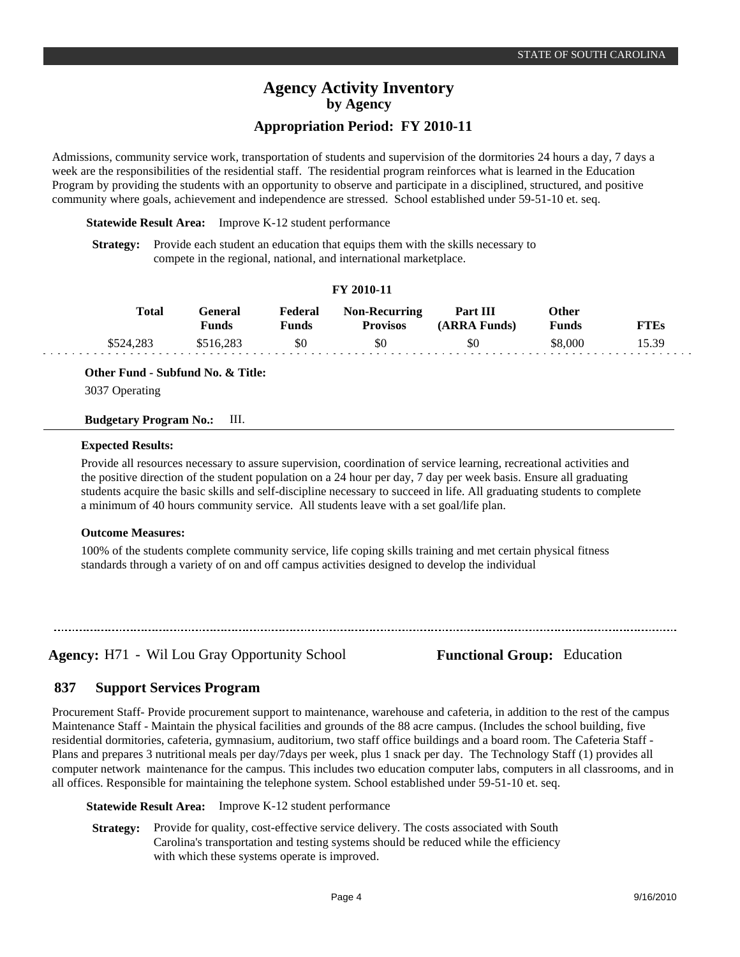# **Agency Activity Inventory by Agency**

## **Appropriation Period: FY 2010-11**

Admissions, community service work, transportation of students and supervision of the dormitories 24 hours a day, 7 days a week are the responsibilities of the residential staff. The residential program reinforces what is learned in the Education Program by providing the students with an opportunity to observe and participate in a disciplined, structured, and positive community where goals, achievement and independence are stressed. School established under 59-51-10 et. seq.

**Statewide Result Area:** Improve K-12 student performance

**Strategy:** Provide each student an education that equips them with the skills necessary to compete in the regional, national, and international marketplace.

## **FY 2010-11**

| Total     | General<br><b>Funds</b> | Federal<br>Funds | <b>Non-Recurring</b><br><b>Provisos</b> | Part III<br>(ARRA Funds) | Other<br><b>Funds</b> | <b>FTEs</b> |
|-----------|-------------------------|------------------|-----------------------------------------|--------------------------|-----------------------|-------------|
| \$524.283 | \$516.283               | \$0              | \$0                                     | \$0                      | \$8,000               | 5.39        |

**Other Fund - Subfund No. & Title:**

3037 Operating

## **Budgetary Program No.:** III.

### **Expected Results:**

Provide all resources necessary to assure supervision, coordination of service learning, recreational activities and the positive direction of the student population on a 24 hour per day, 7 day per week basis. Ensure all graduating students acquire the basic skills and self-discipline necessary to succeed in life. All graduating students to complete a minimum of 40 hours community service. All students leave with a set goal/life plan.

## **Outcome Measures:**

100% of the students complete community service, life coping skills training and met certain physical fitness standards through a variety of on and off campus activities designed to develop the individual

**Agency:** H71 - Wil Lou Gray Opportunity School **Functional Group:** Education

#### **Support Services Program 837**

Procurement Staff- Provide procurement support to maintenance, warehouse and cafeteria, in addition to the rest of the campus Maintenance Staff - Maintain the physical facilities and grounds of the 88 acre campus. (Includes the school building, five residential dormitories, cafeteria, gymnasium, auditorium, two staff office buildings and a board room. The Cafeteria Staff - Plans and prepares 3 nutritional meals per day/7days per week, plus 1 snack per day. The Technology Staff (1) provides all computer network maintenance for the campus. This includes two education computer labs, computers in all classrooms, and in all offices. Responsible for maintaining the telephone system. School established under 59-51-10 et. seq.

**Statewide Result Area:** Improve K-12 student performance

**Strategy:** Provide for quality, cost-effective service delivery. The costs associated with South Carolina's transportation and testing systems should be reduced while the efficiency with which these systems operate is improved.